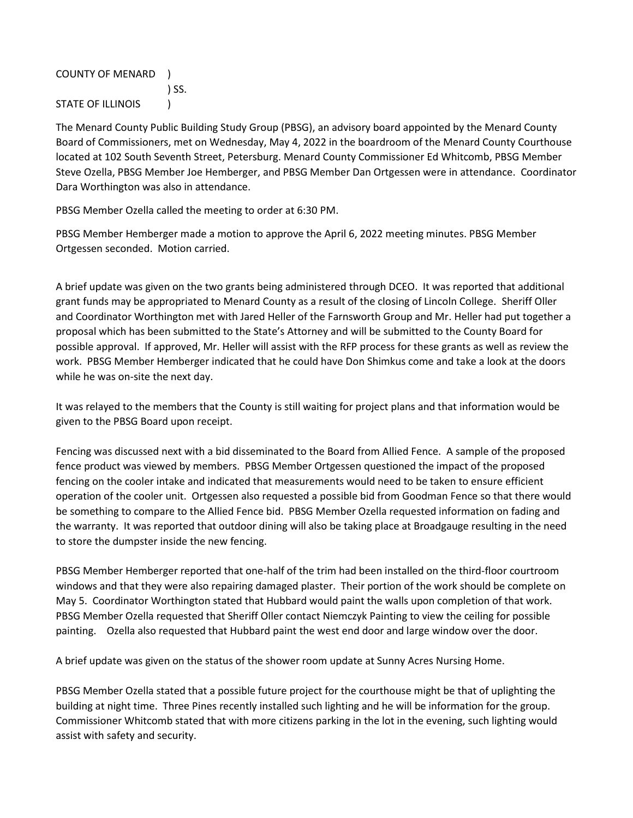COUNTY OF MENARD ) ) SS. STATE OF ILLINOIS (1)

The Menard County Public Building Study Group (PBSG), an advisory board appointed by the Menard County Board of Commissioners, met on Wednesday, May 4, 2022 in the boardroom of the Menard County Courthouse located at 102 South Seventh Street, Petersburg. Menard County Commissioner Ed Whitcomb, PBSG Member Steve Ozella, PBSG Member Joe Hemberger, and PBSG Member Dan Ortgessen were in attendance. Coordinator Dara Worthington was also in attendance.

PBSG Member Ozella called the meeting to order at 6:30 PM.

PBSG Member Hemberger made a motion to approve the April 6, 2022 meeting minutes. PBSG Member Ortgessen seconded. Motion carried.

A brief update was given on the two grants being administered through DCEO. It was reported that additional grant funds may be appropriated to Menard County as a result of the closing of Lincoln College. Sheriff Oller and Coordinator Worthington met with Jared Heller of the Farnsworth Group and Mr. Heller had put together a proposal which has been submitted to the State's Attorney and will be submitted to the County Board for possible approval. If approved, Mr. Heller will assist with the RFP process for these grants as well as review the work. PBSG Member Hemberger indicated that he could have Don Shimkus come and take a look at the doors while he was on-site the next day.

It was relayed to the members that the County is still waiting for project plans and that information would be given to the PBSG Board upon receipt.

Fencing was discussed next with a bid disseminated to the Board from Allied Fence. A sample of the proposed fence product was viewed by members. PBSG Member Ortgessen questioned the impact of the proposed fencing on the cooler intake and indicated that measurements would need to be taken to ensure efficient operation of the cooler unit. Ortgessen also requested a possible bid from Goodman Fence so that there would be something to compare to the Allied Fence bid. PBSG Member Ozella requested information on fading and the warranty. It was reported that outdoor dining will also be taking place at Broadgauge resulting in the need to store the dumpster inside the new fencing.

PBSG Member Hemberger reported that one-half of the trim had been installed on the third-floor courtroom windows and that they were also repairing damaged plaster. Their portion of the work should be complete on May 5. Coordinator Worthington stated that Hubbard would paint the walls upon completion of that work. PBSG Member Ozella requested that Sheriff Oller contact Niemczyk Painting to view the ceiling for possible painting. Ozella also requested that Hubbard paint the west end door and large window over the door.

A brief update was given on the status of the shower room update at Sunny Acres Nursing Home.

PBSG Member Ozella stated that a possible future project for the courthouse might be that of uplighting the building at night time. Three Pines recently installed such lighting and he will be information for the group. Commissioner Whitcomb stated that with more citizens parking in the lot in the evening, such lighting would assist with safety and security.